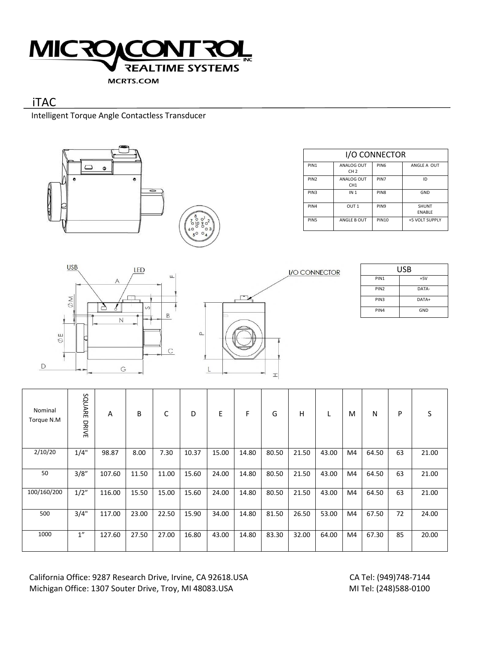

# iTAC

Intelligent Torque Angle Contactless Transducer



| I/O CONNECTOR    |                               |                  |                        |  |  |  |  |  |
|------------------|-------------------------------|------------------|------------------------|--|--|--|--|--|
| PIN <sub>1</sub> | ANALOG OUT<br>CH <sub>2</sub> | PIN <sub>6</sub> | ANGLF A OUT            |  |  |  |  |  |
| PIN <sub>2</sub> | ANALOG OUT<br>CH <sub>1</sub> | PIN7             | ID                     |  |  |  |  |  |
| PIN3             | IN 1                          | PIN <sub>8</sub> | GND                    |  |  |  |  |  |
| PIN4             | OUT <sub>1</sub>              | PIN <sub>9</sub> | SHUNT<br><b>FNABLF</b> |  |  |  |  |  |
| PIN <sub>5</sub> | ANGLF B OUT                   | <b>PIN10</b>     | +5 VOLT SUPPLY         |  |  |  |  |  |





| USB              |         |  |  |  |
|------------------|---------|--|--|--|
| PIN <sub>1</sub> | $+5V$   |  |  |  |
| PIN <sub>2</sub> | DATA-   |  |  |  |
| PIN <sub>3</sub> | $DATA+$ |  |  |  |
| PIN4             | GND     |  |  |  |

| Nominal<br>Torque N.M | SQUARE<br>DRIVE | A      | B     | C     | D     | E     | F     | G     | н     |       | M  | N     | P  | S     |
|-----------------------|-----------------|--------|-------|-------|-------|-------|-------|-------|-------|-------|----|-------|----|-------|
| 2/10/20               | 1/4"            | 98.87  | 8.00  | 7.30  | 10.37 | 15.00 | 14.80 | 80.50 | 21.50 | 43.00 | M4 | 64.50 | 63 | 21.00 |
| 50                    | 3/8''           | 107.60 | 11.50 | 11.00 | 15.60 | 24.00 | 14.80 | 80.50 | 21.50 | 43.00 | M4 | 64.50 | 63 | 21.00 |
| 100/160/200           | 1/2"            | 116.00 | 15.50 | 15.00 | 15.60 | 24.00 | 14.80 | 80.50 | 21.50 | 43.00 | M4 | 64.50 | 63 | 21.00 |
| 500                   | 3/4"            | 117.00 | 23.00 | 22.50 | 15.90 | 34.00 | 14.80 | 81.50 | 26.50 | 53.00 | M4 | 67.50 | 72 | 24.00 |
| 1000                  | 1''             | 127.60 | 27.50 | 27.00 | 16.80 | 43.00 | 14.80 | 83.30 | 32.00 | 64.00 | M4 | 67.30 | 85 | 20.00 |

California Office: 9287 Research Drive, Irvine, CA 92618.USA CA Tel: (949)748-7144<br>Michigan Office: 1307 Souter Drive, Troy, MI 48083.USA MI Tel: (248)588-0100 Michigan Office: 1307 Souter Drive, Troy, MI 48083.USA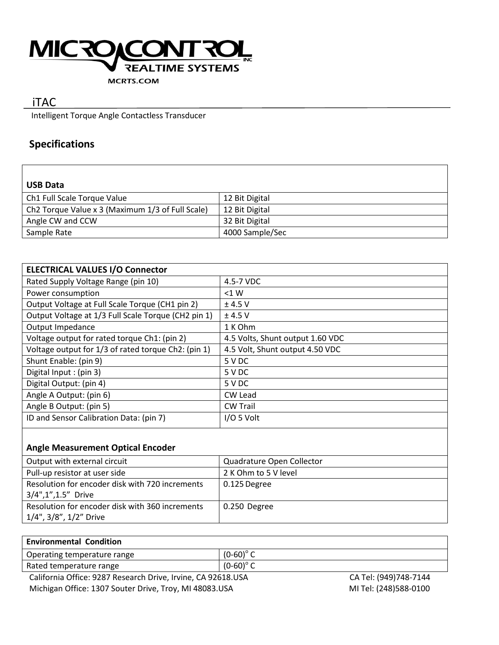

#### **MCRTS.COM**

# iTAC

Intelligent Torque Angle Contactless Transducer

## **Specifications**

| <b>USB Data</b>                                  |                 |
|--------------------------------------------------|-----------------|
| Ch1 Full Scale Torque Value                      | 12 Bit Digital  |
| Ch2 Torque Value x 3 (Maximum 1/3 of Full Scale) | 12 Bit Digital  |
| Angle CW and CCW                                 | 32 Bit Digital  |
| Sample Rate                                      | 4000 Sample/Sec |

| <b>ELECTRICAL VALUES I/O Connector</b>              |                                  |
|-----------------------------------------------------|----------------------------------|
| Rated Supply Voltage Range (pin 10)                 | 4.5-7 VDC                        |
| Power consumption                                   | < 1 W                            |
| Output Voltage at Full Scale Torque (CH1 pin 2)     | $±$ 4.5 V                        |
| Output Voltage at 1/3 Full Scale Torque (CH2 pin 1) | $±$ 4.5 V                        |
| Output Impedance                                    | 1 K Ohm                          |
| Voltage output for rated torque Ch1: (pin 2)        | 4.5 Volts, Shunt output 1.60 VDC |
| Voltage output for 1/3 of rated torque Ch2: (pin 1) | 4.5 Volt, Shunt output 4.50 VDC  |
| Shunt Enable: (pin 9)                               | 5 V DC                           |
| Digital Input: (pin 3)                              | 5 V DC                           |
| Digital Output: (pin 4)                             | 5 V DC                           |
| Angle A Output: (pin 6)                             | CW Lead                          |
| Angle B Output: (pin 5)                             | <b>CW Trail</b>                  |
| ID and Sensor Calibration Data: (pin 7)             | I/O 5 Volt                       |

### **Angle Measurement Optical Encoder**

| Output with external circuit                                              | Quadrature Open Collector |
|---------------------------------------------------------------------------|---------------------------|
| Pull-up resistor at user side                                             | 2 K Ohm to 5 V level      |
| Resolution for encoder disk with 720 increments<br>3/4",1",1.5" Drive     | 0.125 Degree              |
| Resolution for encoder disk with 360 increments<br>1/4", 3/8", 1/2" Drive | 0.250 Degree              |

| <b>Environmental Condition</b>                   |             |                                   |
|--------------------------------------------------|-------------|-----------------------------------|
| Operating temperature range                      | $(0-60)$ °C |                                   |
| Rated temperature range                          | $(0-60)$ °C |                                   |
| $\cdot$ $ \cdot$ $\cdot$ $\cdot$ $\cdot$ $\cdot$ | .           | _ _ _ _ _ _ _ _ _ _ _ _ _ _ _ _ _ |

California Office: 9287 Research Drive, Irvine, CA 92618.USA CA Tel: (949)748-7144 Michigan Office: 1307 Souter Drive, Troy, MI 48083.USA MITEL: (248)588-0100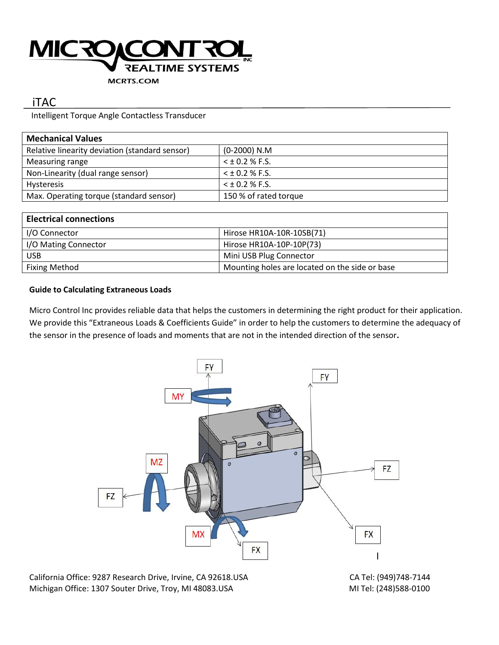

#### **MCRTS.COM**

## iTAC

Intelligent Torque Angle Contactless Transducer

| <b>Mechanical Values</b>                       |                       |  |  |  |
|------------------------------------------------|-----------------------|--|--|--|
| Relative linearity deviation (standard sensor) | $(0-2000)$ N.M        |  |  |  |
| Measuring range                                | $5 + 0.2 %$ F.S.      |  |  |  |
| Non-Linearity (dual range sensor)              | $<$ ± 0.2 % F.S.      |  |  |  |
| <b>Hysteresis</b>                              | $<$ ± 0.2 % F.S.      |  |  |  |
| Max. Operating torque (standard sensor)        | 150 % of rated torque |  |  |  |

| <b>Electrical connections</b> |                                                |
|-------------------------------|------------------------------------------------|
| I/O Connector                 | Hirose HR10A-10R-10SB(71)                      |
| I/O Mating Connector          | Hirose HR10A-10P-10P(73)                       |
| <b>USB</b>                    | Mini USB Plug Connector                        |
| <b>Fixing Method</b>          | Mounting holes are located on the side or base |

### **Guide to Calculating Extraneous Loads**

Micro Control Inc provides reliable data that helps the customers in determining the right product for their application. We provide this "Extraneous Loads & Coefficients Guide" in order to help the customers to determine the adequacy of the sensor in the presence of loads and moments that are not in the intended direction of the sensor**.**



Michigan Office: 1307 Souter Drive, Troy, MI 48083.USA MITEL: (248)588-0100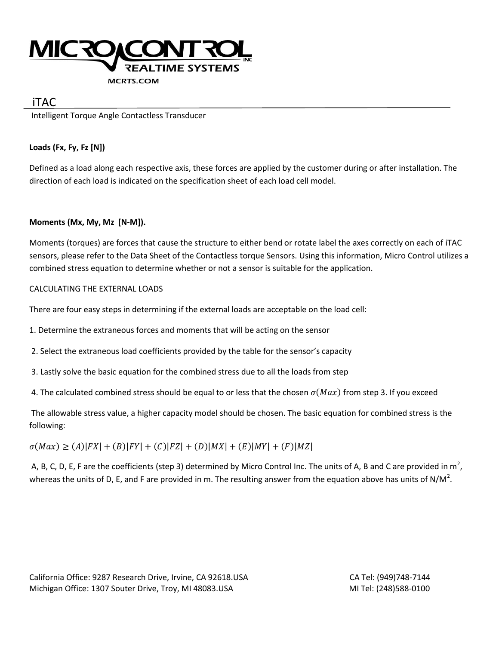

### iTAC

Intelligent Torque Angle Contactless Transducer

### **Loads (Fx, Fy, Fz [N])**

Defined as a load along each respective axis, these forces are applied by the customer during or after installation. The direction of each load is indicated on the specification sheet of each load cell model.

### **Moments (Mx, My, Mz [N-M]).**

Moments (torques) are forces that cause the structure to either bend or rotate label the axes correctly on each of iTAC sensors, please refer to the Data Sheet of the Contactless torque Sensors. Using this information, Micro Control utilizes a combined stress equation to determine whether or not a sensor is suitable for the application.

### CALCULATING THE EXTERNAL LOADS

There are four easy steps in determining if the external loads are acceptable on the load cell:

- 1. Determine the extraneous forces and moments that will be acting on the sensor
- 2. Select the extraneous load coefficients provided by the table for the sensor's capacity
- 3. Lastly solve the basic equation for the combined stress due to all the loads from step
- 4. The calculated combined stress should be equal to or less that the chosen  $\sigma(Max)$  from step 3. If you exceed

The allowable stress value, a higher capacity model should be chosen. The basic equation for combined stress is the following:

 $\sigma(Max) \ge (A)|FX| + (B)|FY| + (C)|FZ| + (D)|MX| + (E)|MY| + (F)|MZ|$ 

A, B, C, D, E, F are the coefficients (step 3) determined by Micro Control Inc. The units of A, B and C are provided in  $m^2$ , whereas the units of D, E, and F are provided in m. The resulting answer from the equation above has units of N/M<sup>2</sup>.

California Office: 9287 Research Drive, Irvine, CA 92618.USA CA TEL: (949)748-7144 Michigan Office: 1307 Souter Drive, Troy, MI 48083.USA MICHIGAN MITel: (248)588-0100